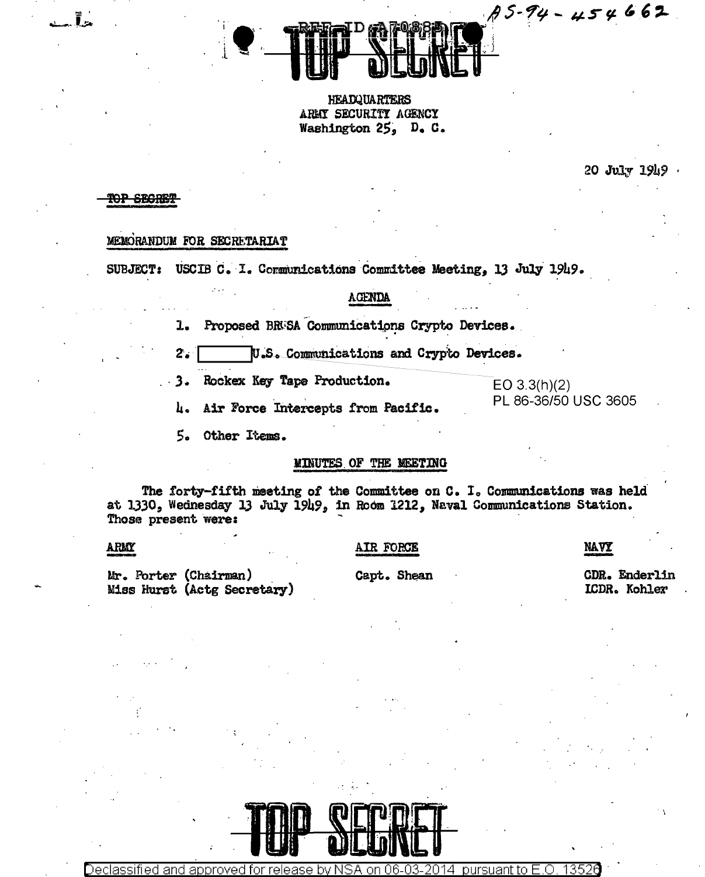**HEADQUARTERS** ARMY SECURITY AGENCY Washington 25. D. C.

20 July 1949 .

 $75 - 94 - 454662$ 

# **YOP SEGRE!**

Ĩ.

# MEMORANDUM FOR SECRETARIAT

SUBJECT: USCIB C. I. Communications Committee Meeting, 13 July 1949.

# **AGENDA**

Proposed BRUSA Communications Crypto Devices. ı.

U.S. Communications and Crypto Devices.  $2.5$ 

3. Rockex Key Tape Production.

 $EO 3.3(h)(2)$ PL 86-36/50 USC 3605

4. Air Force Intercepts from Pacific.

5. Other Items.

# MINUTES OF THE MEETING

The forty-fifth meeting of the Committee on C. I. Communications was held at 1330, Wednesday 13 July 1949, in Room 1212, Naval Communications Station. Those present were:

# ARMY

# AIR FORCE

NAVY

Mr. Porter (Chairman) Miss Hurst (Actg Secretary) Capt. Shean

CDR. Enderlin ICDR. Kohler



Declassified and approved for rel pursuant to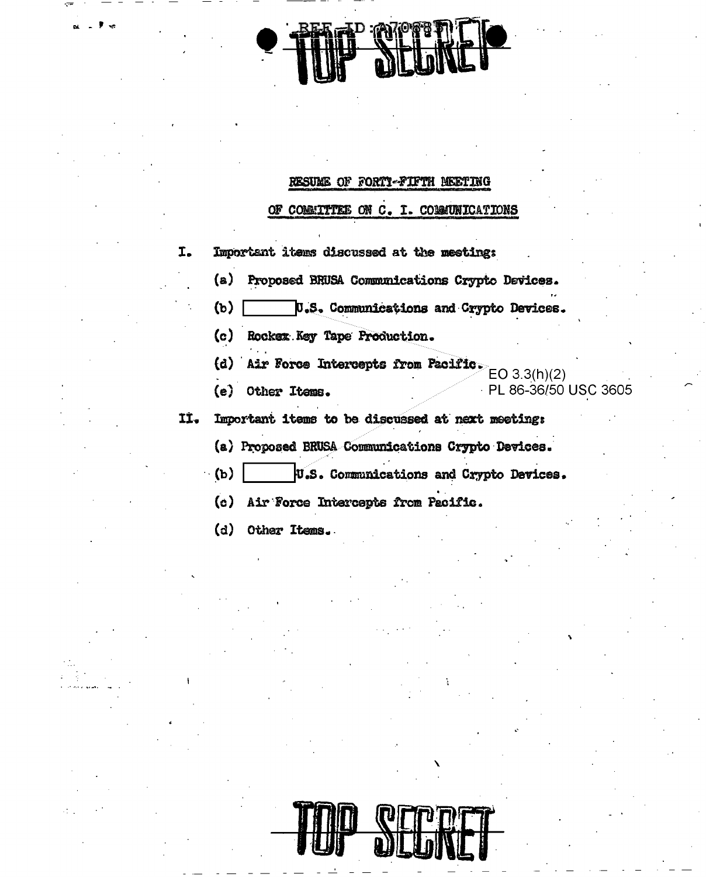# RESUME OF FORTY-FIFTH MEETING

OF COMMITTEE ON C. I. COMMUNICATIONS

I. Important items discussed at the meeting: Proposed BRUSA Communications Crypto Devices. (a) U.S. Communications and Crypto Devices.  $(b)$ 

- (c) Rockex Key Tape Production.
- (d) Air Force Intercepts from Pacific.
- (e) Other Items.

 $EO(3.3(h)(2)$ PL 86-36/50 USC 3605

- Important items to be discussed at next meeting: IÌ.
	- (a) Proposed BRUSA Communications Crypto Devices.
	- $\langle \mathbf{b} \rangle$ U.S. Communications and Crypto Devices.
		- (c) Air Force Intercepts from Pacific.
		- (d) Other Items.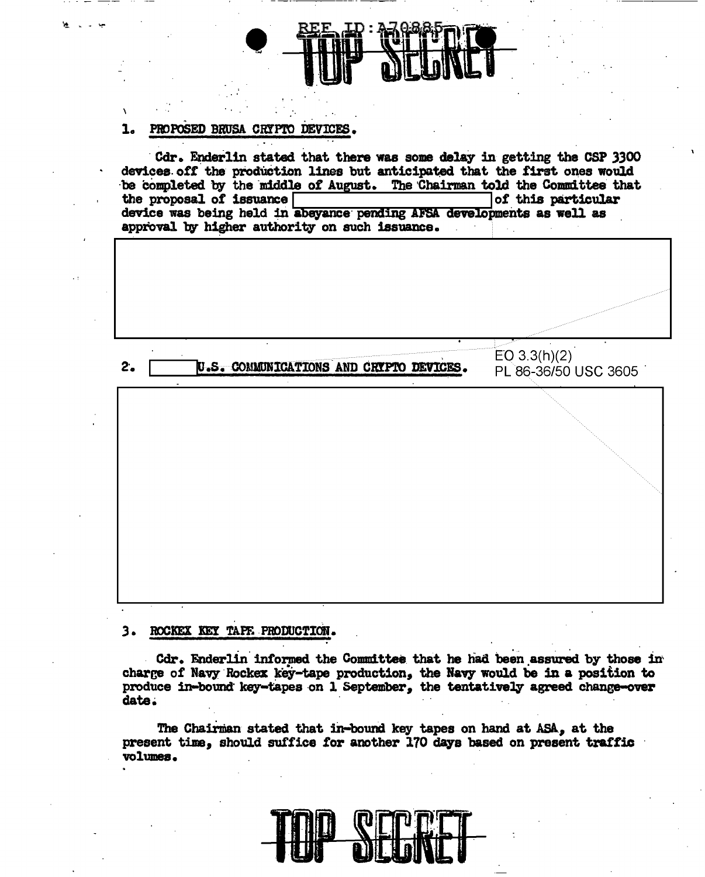#### PROPOSED BRUSA CRYPTO DEVICES. 1.

Cdr. Enderlin stated that there was some delay in getting the CSP 3300 devices off the production lines but anticipated that the first ones would be completed by the middle of August. The Chairman told the Committee that the proposal of issuance [ of this particular device was being held in abeyance pending AFSA developments as well as approval by higher authority on such issuance.



# 3. ROCKEX KEY TAPE PRODUCTION.

Cdr. Enderlin informed the Committee that he had been assured by those in charge of Navy Rockex key-tape production, the Navy would be in a position to produce in-bound key-tapes on 1 September, the tentatively agreed change-over date.

The Chairman stated that in-bound key tapes on hand at ASA, at the present time, should suffice for another 170 days based on present traffic volumes.